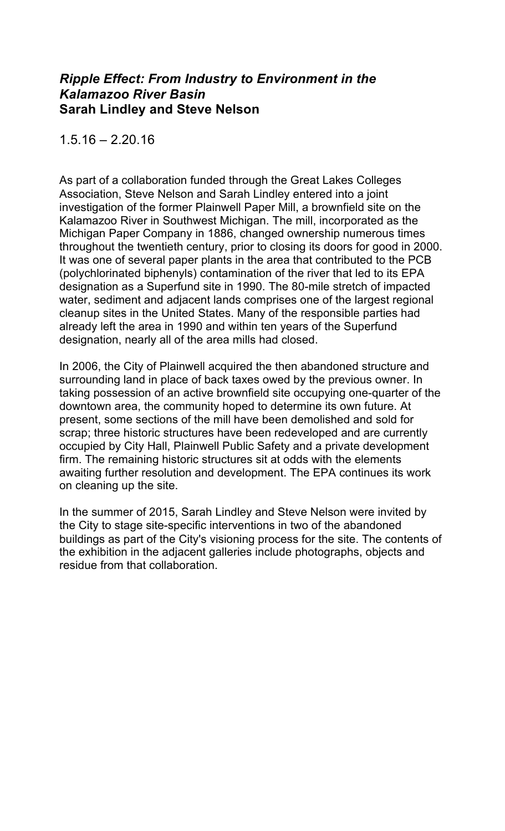### *Ripple Effect: From Industry to Environment in the Kalamazoo River Basin*  **Sarah Lindley and Steve Nelson**

 $1.5.16 - 2.20.16$ 

As part of a collaboration funded through the Great Lakes Colleges Association, Steve Nelson and Sarah Lindley entered into a joint investigation of the former Plainwell Paper Mill, a brownfield site on the Kalamazoo River in Southwest Michigan. The mill, incorporated as the Michigan Paper Company in 1886, changed ownership numerous times throughout the twentieth century, prior to closing its doors for good in 2000. It was one of several paper plants in the area that contributed to the PCB (polychlorinated biphenyls) contamination of the river that led to its EPA designation as a Superfund site in 1990. The 80-mile stretch of impacted water, sediment and adjacent lands comprises one of the largest regional cleanup sites in the United States. Many of the responsible parties had already left the area in 1990 and within ten years of the Superfund designation, nearly all of the area mills had closed.

In 2006, the City of Plainwell acquired the then abandoned structure and surrounding land in place of back taxes owed by the previous owner. In taking possession of an active brownfield site occupying one-quarter of the downtown area, the community hoped to determine its own future. At present, some sections of the mill have been demolished and sold for scrap; three historic structures have been redeveloped and are currently occupied by City Hall, Plainwell Public Safety and a private development firm. The remaining historic structures sit at odds with the elements awaiting further resolution and development. The EPA continues its work on cleaning up the site.

In the summer of 2015, Sarah Lindley and Steve Nelson were invited by the City to stage site-specific interventions in two of the abandoned buildings as part of the City's visioning process for the site. The contents of the exhibition in the adjacent galleries include photographs, objects and residue from that collaboration.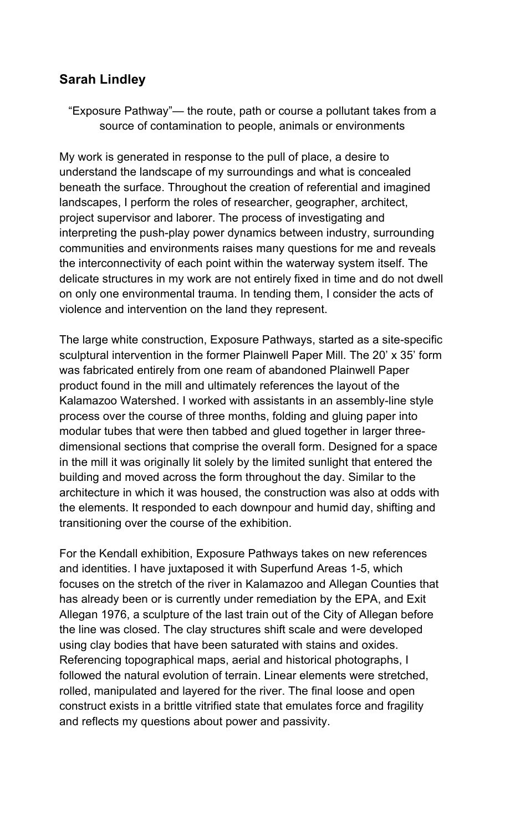# **Sarah Lindley**

"Exposure Pathway"— the route, path or course a pollutant takes from a source of contamination to people, animals or environments

My work is generated in response to the pull of place, a desire to understand the landscape of my surroundings and what is concealed beneath the surface. Throughout the creation of referential and imagined landscapes, I perform the roles of researcher, geographer, architect, project supervisor and laborer. The process of investigating and interpreting the push-play power dynamics between industry, surrounding communities and environments raises many questions for me and reveals the interconnectivity of each point within the waterway system itself. The delicate structures in my work are not entirely fixed in time and do not dwell on only one environmental trauma. In tending them, I consider the acts of violence and intervention on the land they represent.

The large white construction, Exposure Pathways, started as a site-specific sculptural intervention in the former Plainwell Paper Mill. The 20' x 35' form was fabricated entirely from one ream of abandoned Plainwell Paper product found in the mill and ultimately references the layout of the Kalamazoo Watershed. I worked with assistants in an assembly-line style process over the course of three months, folding and gluing paper into modular tubes that were then tabbed and glued together in larger threedimensional sections that comprise the overall form. Designed for a space in the mill it was originally lit solely by the limited sunlight that entered the building and moved across the form throughout the day. Similar to the architecture in which it was housed, the construction was also at odds with the elements. It responded to each downpour and humid day, shifting and transitioning over the course of the exhibition.

For the Kendall exhibition, Exposure Pathways takes on new references and identities. I have juxtaposed it with Superfund Areas 1-5, which focuses on the stretch of the river in Kalamazoo and Allegan Counties that has already been or is currently under remediation by the EPA, and Exit Allegan 1976, a sculpture of the last train out of the City of Allegan before the line was closed. The clay structures shift scale and were developed using clay bodies that have been saturated with stains and oxides. Referencing topographical maps, aerial and historical photographs, I followed the natural evolution of terrain. Linear elements were stretched, rolled, manipulated and layered for the river. The final loose and open construct exists in a brittle vitrified state that emulates force and fragility and reflects my questions about power and passivity.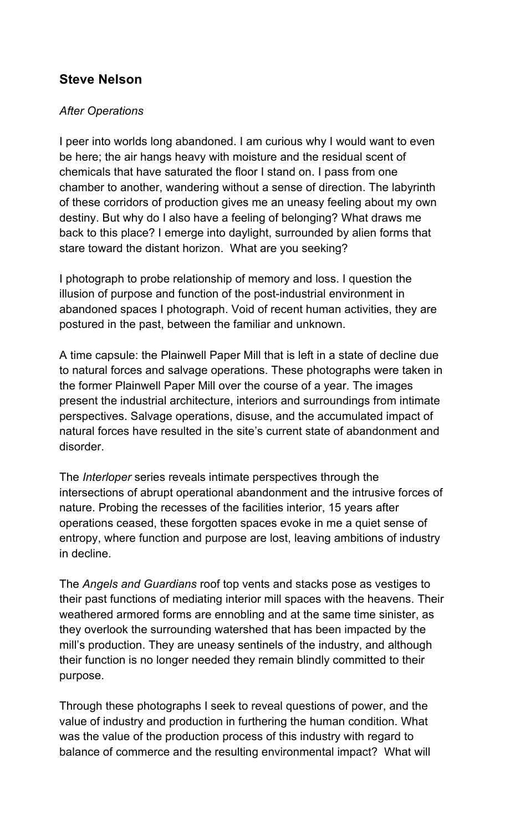# **Steve Nelson**

#### *After Operations*

I peer into worlds long abandoned. I am curious why I would want to even be here; the air hangs heavy with moisture and the residual scent of chemicals that have saturated the floor I stand on. I pass from one chamber to another, wandering without a sense of direction. The labyrinth of these corridors of production gives me an uneasy feeling about my own destiny. But why do I also have a feeling of belonging? What draws me back to this place? I emerge into daylight, surrounded by alien forms that stare toward the distant horizon. What are you seeking?

I photograph to probe relationship of memory and loss. I question the illusion of purpose and function of the post-industrial environment in abandoned spaces I photograph. Void of recent human activities, they are postured in the past, between the familiar and unknown.

A time capsule: the Plainwell Paper Mill that is left in a state of decline due to natural forces and salvage operations. These photographs were taken in the former Plainwell Paper Mill over the course of a year. The images present the industrial architecture, interiors and surroundings from intimate perspectives. Salvage operations, disuse, and the accumulated impact of natural forces have resulted in the site's current state of abandonment and disorder.

The *Interloper* series reveals intimate perspectives through the intersections of abrupt operational abandonment and the intrusive forces of nature. Probing the recesses of the facilities interior, 15 years after operations ceased, these forgotten spaces evoke in me a quiet sense of entropy, where function and purpose are lost, leaving ambitions of industry in decline.

The *Angels and Guardians* roof top vents and stacks pose as vestiges to their past functions of mediating interior mill spaces with the heavens. Their weathered armored forms are ennobling and at the same time sinister, as they overlook the surrounding watershed that has been impacted by the mill's production. They are uneasy sentinels of the industry, and although their function is no longer needed they remain blindly committed to their purpose.

Through these photographs I seek to reveal questions of power, and the value of industry and production in furthering the human condition. What was the value of the production process of this industry with regard to balance of commerce and the resulting environmental impact? What will